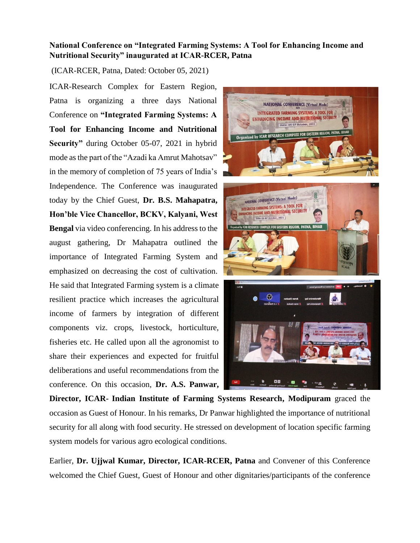## **National Conference on "Integrated Farming Systems: A Tool for Enhancing Income and Nutritional Security" inaugurated at ICAR-RCER, Patna**

(ICAR-RCER, Patna, Dated: October 05, 2021)

ICAR-Research Complex for Eastern Region, Patna is organizing a three days National Conference on **"Integrated Farming Systems: A Tool for Enhancing Income and Nutritional Security"** during October 05-07, 2021 in hybrid mode as the part of the "Azadi ka Amrut Mahotsav" in the memory of completion of 75 years of India's Independence. The Conference was inaugurated today by the Chief Guest, **Dr. B.S. Mahapatra, Hon'ble Vice Chancellor, BCKV, Kalyani, West Bengal** via video conferencing. In his address to the august gathering, Dr Mahapatra outlined the importance of Integrated Farming System and emphasized on decreasing the cost of cultivation. He said that Integrated Farming system is a climate resilient practice which increases the agricultural income of farmers by integration of different components viz. crops, livestock, horticulture, fisheries etc. He called upon all the agronomist to share their experiences and expected for fruitful deliberations and useful recommendations from the conference. On this occasion, **Dr. A.S. Panwar,** 



**Director, ICAR- Indian Institute of Farming Systems Research, Modipuram** graced the occasion as Guest of Honour. In his remarks, Dr Panwar highlighted the importance of nutritional security for all along with food security. He stressed on development of location specific farming system models for various agro ecological conditions.

Earlier, **Dr. Ujjwal Kumar, Director, ICAR-RCER, Patna** and Convener of this Conference welcomed the Chief Guest, Guest of Honour and other dignitaries/participants of the conference